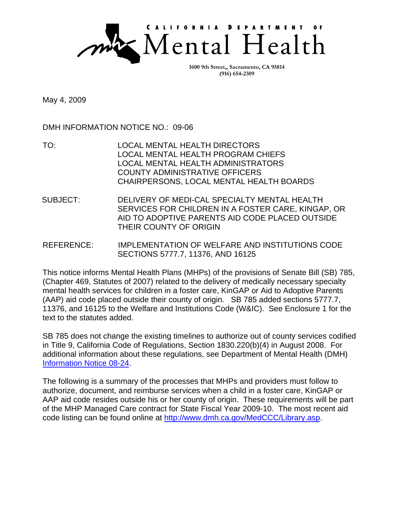

**1600 9th Street,, Sacramento, CA 95814 (916) 654-2309** 

May 4, 2009

DMH INFORMATION NOTICE NO.: 09-06

- TO: LOCAL MENTAL HEALTH DIRECTORS LOCAL MENTAL HEALTH PROGRAM CHIEFS LOCAL MENTAL HEALTH ADMINISTRATORS COUNTY ADMINISTRATIVE OFFICERS CHAIRPERSONS, LOCAL MENTAL HEALTH BOARDS
- SUBJECT: DELIVERY OF MEDI-CAL SPECIALTY MENTAL HEALTH SERVICES FOR CHILDREN IN A FOSTER CARE, KINGAP, OR AID TO ADOPTIVE PARENTS AID CODE PLACED OUTSIDE THEIR COUNTY OF ORIGIN
- REFERENCE: IMPLEMENTATION OF WELFARE AND INSTITUTIONS CODE SECTIONS 5777.7, 11376, AND 16125

This notice informs Mental Health Plans (MHPs) of the provisions of Senate Bill (SB) 785, (Chapter 469, Statutes of 2007) related to the delivery of medically necessary specialty mental health services for children in a foster care, KinGAP or Aid to Adoptive Parents (AAP) aid code placed outside their county of origin. SB 785 added sections 5777.7, 11376, and 16125 to the Welfare and Institutions Code (W&IC). See Enclosure 1 for the text to the statutes added.

SB 785 does not change the existing timelines to authorize out of county services codified in Title 9, California Code of Regulations, Section 1830.220(b)(4) in August 2008. For additional information about these regulations, see Department of Mental Health (DMH) [Information Notice 08-24.](https://www.dhcs.ca.gov/formsandpubs/MHArchives/InfoNotice08-24.pdf) 

The following is a summary of the processes that MHPs and providers must follow to authorize, document, and reimburse services when a child in a foster care, KinGAP or AAP aid code resides outside his or her county of origin. These requirements will be part of the MHP Managed Care contract for State Fiscal Year 2009-10. The most recent aid code listing can be found online a[t http://www.dmh.ca.gov/MedCCC/Library.asp.](http://www.dmh.ca.gov/MedCCC/Library.asp.)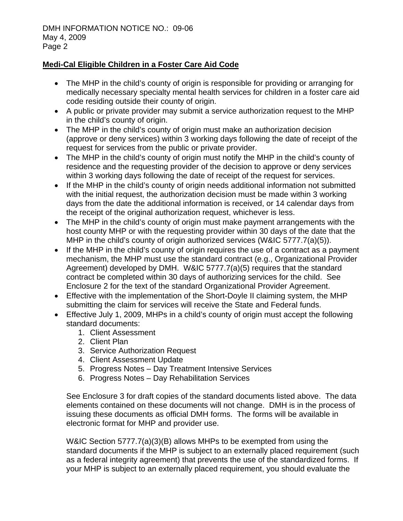## **Medi-Cal Eligible Children in a Foster Care Aid Code**

- The MHP in the child's county of origin is responsible for providing or arranging for medically necessary specialty mental health services for children in a foster care aid code residing outside their county of origin.
- A public or private provider may submit a service authorization request to the MHP in the child's county of origin.
- The MHP in the child's county of origin must make an authorization decision (approve or deny services) within 3 working days following the date of receipt of the request for services from the public or private provider.
- The MHP in the child's county of origin must notify the MHP in the child's county of residence and the requesting provider of the decision to approve or deny services within 3 working days following the date of receipt of the request for services.
- If the MHP in the child's county of origin needs additional information not submitted with the initial request, the authorization decision must be made within 3 working days from the date the additional information is received, or 14 calendar days from the receipt of the original authorization request, whichever is less.
- The MHP in the child's county of origin must make payment arrangements with the host county MHP or with the requesting provider within 30 days of the date that the MHP in the child's county of origin authorized services (W&IC 5777.7(a)(5)).
- If the MHP in the child's county of origin requires the use of a contract as a payment mechanism, the MHP must use the standard contract (e.g., Organizational Provider Agreement) developed by DMH. W&IC 5777.7(a)(5) requires that the standard contract be completed within 30 days of authorizing services for the child. See Enclosure 2 for the text of the standard Organizational Provider Agreement.
- Effective with the implementation of the Short-Doyle II claiming system, the MHP submitting the claim for services will receive the State and Federal funds.
- Effective July 1, 2009, MHPs in a child's county of origin must accept the following standard documents:
	- 1. Client Assessment
	- 2. Client Plan
	- 3. Service Authorization Request
	- 4. Client Assessment Update
	- 5. Progress Notes Day Treatment Intensive Services
	- 6. Progress Notes Day Rehabilitation Services

See Enclosure 3 for draft copies of the standard documents listed above. The data elements contained on these documents will not change. DMH is in the process of issuing these documents as official DMH forms. The forms will be available in electronic format for MHP and provider use.

W&IC Section 5777.7(a)(3)(B) allows MHPs to be exempted from using the standard documents if the MHP is subject to an externally placed requirement (such as a federal integrity agreement) that prevents the use of the standardized forms. If your MHP is subject to an externally placed requirement, you should evaluate the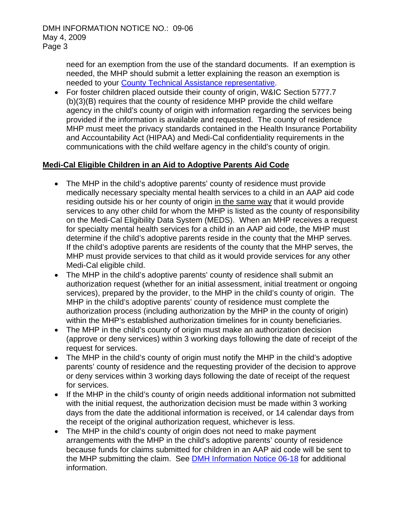need for an exemption from the use of the standard documents. If an exemption is needed, the MHP should submit a letter explaining the reason an exemption is needed to your County Technical Assistance representative.

• For foster children placed outside their county of origin, W&IC Section 5777.7 (b)(3)(B) requires that the county of residence MHP provide the child welfare agency in the child's county of origin with information regarding the services being provided if the information is available and requested. The county of residence MHP must meet the privacy standards contained in the Health Insurance Portability and Accountability Act (HIPAA) and Medi-Cal confidentiality requirements in the communications with the child welfare agency in the child's county of origin.

## **Medi-Cal Eligible Children in an Aid to Adoptive Parents Aid Code**

- The MHP in the child's adoptive parents' county of residence must provide medically necessary specialty mental health services to a child in an AAP aid code residing outside his or her county of origin in the same way that it would provide services to any other child for whom the MHP is listed as the county of responsibility on the Medi-Cal Eligibility Data System (MEDS). When an MHP receives a request for specialty mental health services for a child in an AAP aid code, the MHP must determine if the child's adoptive parents reside in the county that the MHP serves. If the child's adoptive parents are residents of the county that the MHP serves, the MHP must provide services to that child as it would provide services for any other Medi-Cal eligible child.
- The MHP in the child's adoptive parents' county of residence shall submit an authorization request (whether for an initial assessment, initial treatment or ongoing services), prepared by the provider, to the MHP in the child's county of origin. The MHP in the child's adoptive parents' county of residence must complete the authorization process (including authorization by the MHP in the county of origin) within the MHP's established authorization timelines for in county beneficiaries.
- The MHP in the child's county of origin must make an authorization decision (approve or deny services) within 3 working days following the date of receipt of the request for services.
- The MHP in the child's county of origin must notify the MHP in the child's adoptive parents' county of residence and the requesting provider of the decision to approve or deny services within 3 working days following the date of receipt of the request for services.
- If the MHP in the child's county of origin needs additional information not submitted with the initial request, the authorization decision must be made within 3 working days from the date the additional information is received, or 14 calendar days from the receipt of the original authorization request, whichever is less.
- The MHP in the child's county of origin does not need to make payment arrangements with the MHP in the child's adoptive parents' county of residence because funds for claims submitted for children in an AAP aid code will be sent to the MHP submitting the claim. See **DMH Information Notice 06-18** for additional information.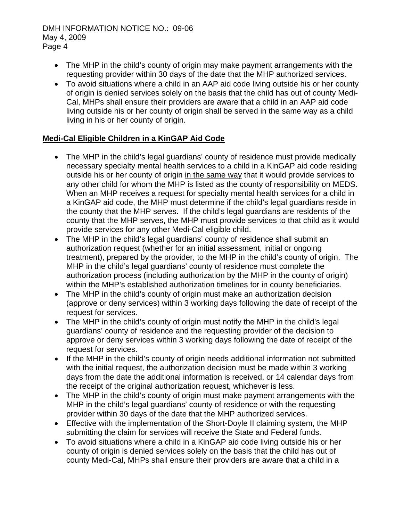- The MHP in the child's county of origin may make payment arrangements with the requesting provider within 30 days of the date that the MHP authorized services.
- To avoid situations where a child in an AAP aid code living outside his or her county of origin is denied services solely on the basis that the child has out of county Medi-Cal, MHPs shall ensure their providers are aware that a child in an AAP aid code living outside his or her county of origin shall be served in the same way as a child living in his or her county of origin.

## **Medi-Cal Eligible Children in a KinGAP Aid Code**

- The MHP in the child's legal guardians' county of residence must provide medically necessary specialty mental health services to a child in a KinGAP aid code residing outside his or her county of origin in the same way that it would provide services to any other child for whom the MHP is listed as the county of responsibility on MEDS. When an MHP receives a request for specialty mental health services for a child in a KinGAP aid code, the MHP must determine if the child's legal guardians reside in the county that the MHP serves. If the child's legal guardians are residents of the county that the MHP serves, the MHP must provide services to that child as it would provide services for any other Medi-Cal eligible child.
- The MHP in the child's legal guardians' county of residence shall submit an authorization request (whether for an initial assessment, initial or ongoing treatment), prepared by the provider, to the MHP in the child's county of origin. The MHP in the child's legal guardians' county of residence must complete the authorization process (including authorization by the MHP in the county of origin) within the MHP's established authorization timelines for in county beneficiaries.
- The MHP in the child's county of origin must make an authorization decision (approve or deny services) within 3 working days following the date of receipt of the request for services.
- The MHP in the child's county of origin must notify the MHP in the child's legal guardians' county of residence and the requesting provider of the decision to approve or deny services within 3 working days following the date of receipt of the request for services.
- If the MHP in the child's county of origin needs additional information not submitted with the initial request, the authorization decision must be made within 3 working days from the date the additional information is received, or 14 calendar days from the receipt of the original authorization request, whichever is less.
- The MHP in the child's county of origin must make payment arrangements with the MHP in the child's legal guardians' county of residence or with the requesting provider within 30 days of the date that the MHP authorized services.
- Effective with the implementation of the Short-Doyle II claiming system, the MHP submitting the claim for services will receive the State and Federal funds.
- To avoid situations where a child in a KinGAP aid code living outside his or her county of origin is denied services solely on the basis that the child has out of county Medi-Cal, MHPs shall ensure their providers are aware that a child in a